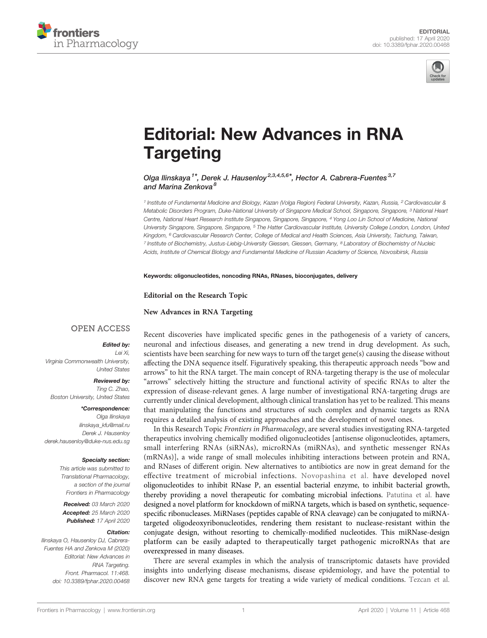



# [Editorial: New Advances in RNA](https://www.frontiersin.org/articles/10.3389/fphar.2020.00468/full) **[Targeting](https://www.frontiersin.org/articles/10.3389/fphar.2020.00468/full)**

[Olga Ilinskaya](https://loop.frontiersin.org/people/438859)<sup>1\*</sup>, [Derek J. Hausenloy](https://loop.frontiersin.org/people/23677)<sup>2,3,4,5,6\*</sup>, [Hector A. Cabrera-Fuentes](https://loop.frontiersin.org/people/205974)<sup>3,7</sup> and [Marina Zenkova](https://loop.frontiersin.org/people/581444)<sup>8</sup>

<sup>1</sup> Institute of Fundamental Medicine and Biology, Kazan (Volga Region) Federal University, Kazan, Russia, <sup>2</sup> Cardiovascular & Metabolic Disorders Program, Duke-National University of Singapore Medical School, Singapore, Singapore, <sup>3</sup> National Heart Centre, National Heart Research Institute Singapore, Singapore, Singapore, <sup>4</sup> Yong Loo Lin School of Medicine, National University Singapore, Singapore, Singapore, <sup>5</sup> The Hatter Cardiovascular Institute, University College London, London, United Kingdom, <sup>6</sup> Cardiovascular Research Center, College of Medical and Health Sciences, Asia University, Taichung, Taiwan, <sup>7</sup> Institute of Biochemistry, Justus-Liebig-University Giessen, Giessen, Germany, <sup>8</sup> Laboratory of Biochemistry of Nucleic Acids, Institute of Chemical Biology and Fundamental Medicine of Russian Academy of Science, Novosibirsk, Russia

Keywords: oligonucleotides, noncoding RNAs, RNases, bioconjugates, delivery

Editorial on the Research Topic

[New Advances in RNA Targeting](https://www.frontiersin.org/research-topics/8591/new-advances-in-rna-targeting)

## **OPEN ACCESS**

### Edited by:

Lei Xi, Virginia Commonwealth University, United States

#### Reviewed by:

Ting C. Zhao, Boston University, United States

#### \*Correspondence:

Olga Ilinskaya [ilinskaya\\_kfu@mail.ru](mailto:ilinskaya_kfu@mail.ru) Derek J. Hausenloy [derek.hausenloy@duke-nus.edu.sg](mailto:derek.hausenloy@duke-nus.edu.sg)

#### Specialty section:

This article was submitted to Translational Pharmacology, a section of the journal Frontiers in Pharmacology

Received: 03 March 2020 Accepted: 25 March 2020 Published: 17 April 2020

#### Citation:

Ilinskaya O, Hausenloy DJ, Cabrera-Fuentes HA and Zenkova M (2020) Editorial: New Advances in RNA Targeting. Front. Pharmacol. 11:468. [doi: 10.3389/fphar.2020.00468](https://doi.org/10.3389/fphar.2020.00468) Recent discoveries have implicated specific genes in the pathogenesis of a variety of cancers, neuronal and infectious diseases, and generating a new trend in drug development. As such, scientists have been searching for new ways to turn off the target gene(s) causing the disease without affecting the DNA sequence itself. Figuratively speaking, this therapeutic approach needs "bow and arrows" to hit the RNA target. The main concept of RNA-targeting therapy is the use of molecular "arrows" selectively hitting the structure and functional activity of specific RNAs to alter the expression of disease-relevant genes. A large number of investigational RNA-targeting drugs are currently under clinical development, although clinical translation has yet to be realized. This means that manipulating the functions and structures of such complex and dynamic targets as RNA requires a detailed analysis of existing approaches and the development of novel ones.

In this Research Topic Frontiers in Pharmacology, are several studies investigating RNA-targeted therapeutics involving chemically modified oligonucleotides [antisense oligonucleotides, aptamers, small interfering RNAs (siRNAs), microRNAs (miRNAs), and synthetic messenger RNAs (mRNAs)], a wide range of small molecules inhibiting interactions between protein and RNA, and RNases of different origin. New alternatives to antibiotics are now in great demand for the effective treatment of microbial infections. [Novopashina et al.](https://doi.org/10.3389/fphar.2019.00813) have developed novel oligonucleotides to inhibit RNase P, an essential bacterial enzyme, to inhibit bacterial growth, thereby providing a novel therapeutic for combating microbial infections. [Patutina et al.](https://doi.org/10.3389/fphar.2019.00879) have designed a novel platform for knockdown of miRNA targets, which is based on synthetic, sequencespecific ribonucleases. MiRNases (peptides capable of RNA cleavage) can be conjugated to miRNAtargeted oligodeoxyribonucleotides, rendering them resistant to nuclease-resistant within the conjugate design, without resorting to chemically-modified nucleotides. This miRNase-design platform can be easily adapted to therapeutically target pathogenic microRNAs that are overexpressed in many diseases.

There are several examples in which the analysis of transcriptomic datasets have provided insights into underlying disease mechanisms, disease epidemiology, and have the potential to discover new RNA gene targets for treating a wide variety of medical conditions. [Tezcan et al.](https://doi.org/10.3389/fphar.2019.00451)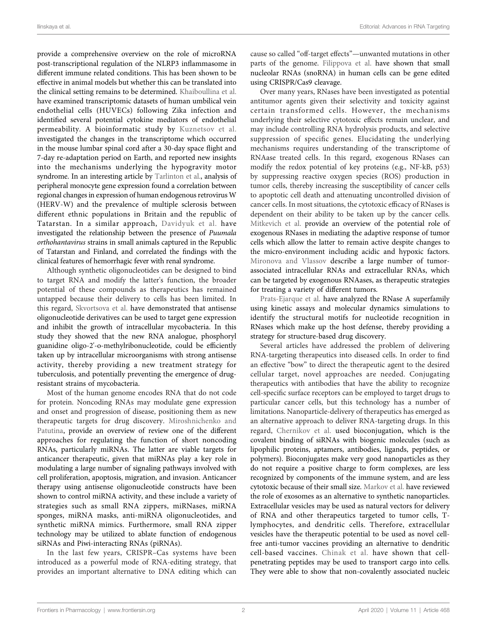provide a comprehensive overview on the role of microRNA post-transcriptional regulation of the NLRP3 inflammasome in different immune related conditions. This has been shown to be effective in animal models but whether this can be translated into the clinical setting remains to be determined. [Khaiboullina et al.](https://doi.org/10.3389/fphar.2019.00642) have examined transcriptomic datasets of human umbilical vein endothelial cells (HUVECs) following Zika infection and identified several potential cytokine mediators of endothelial permeability. A bioinformatic study by [Kuznetsov et al.](https://doi.org/10.3389/fphar.2019.00747) investigated the changes in the transcriptome which occurred in the mouse lumbar spinal cord after a 30-day space flight and 7-day re-adaptation period on Earth, and reported new insights into the mechanisms underlying the hypogravity motor syndrome. In an interesting article by [Tarlinton et al.](https://doi.org/10.3389/fphar.2019.01645), analysis of peripheral monocyte gene expression found a correlation between regional changes in expression of human endogenous retrovirus W (HERV-W) and the prevalence of multiple sclerosis between different ethnic populations in Britain and the republic of Tatarstan. In a similar approach, [Davidyuk et al.](https://doi.org/10.3389/fphar.2019.00970) have investigated the relationship between the presence of Puumala orthohantavirus strains in small animals captured in the Republic of Tatarstan and Finland, and correlated the findings with the clinical features of hemorrhagic fever with renal syndrome.

Although synthetic oligonucleotides can be designed to bind to target RNA and modify the latter's function, the broader potential of these compounds as therapeutics has remained untapped because their delivery to cells has been limited. In this regard, [Skvortsova et al.](https://doi.org/10.3389/fphar.2019.01049) have demonstrated that antisense oligonucleotide derivatives can be used to target gene expression and inhibit the growth of intracellular mycobacteria. In this study they showed that the new RNA analogue, phosphoryl guanidine oligo-2'-o-methylribonucleotide, could be efficiently taken up by intracellular microorganisms with strong antisense activity, thereby providing a new treatment strategy for tuberculosis, and potentially preventing the emergence of drugresistant strains of mycobacteria.

Most of the human genome encodes RNA that do not code for protein. Noncoding RNAs may modulate gene expression and onset and progression of disease, positioning them as new therapeutic targets for drug discovery. [Miroshnichenko and](https://doi.org/10.3389/fphar.2019.00488) [Patutina](https://doi.org/10.3389/fphar.2019.00488), provide an overview of review one of the different approaches for regulating the function of short noncoding RNAs, particularly miRNAs. The latter are viable targets for anticancer therapeutic, given that miRNAs play a key role in modulating a large number of signaling pathways involved with cell proliferation, apoptosis, migration, and invasion. Anticancer therapy using antisense oligonucleotide constructs have been shown to control miRNA activity, and these include a variety of strategies such as small RNA zippers, miRNases, miRNA sponges, miRNA masks, anti-miRNA oligonucleotides, and synthetic miRNA mimics. Furthermore, small RNA zipper technology may be utilized to ablate function of endogenous siRNAs and Piwi-interacting RNAs (piRNAs).

In the last few years, CRISPR–Cas systems have been introduced as a powerful mode of RNA-editing strategy, that provides an important alternative to DNA editing which can

cause so called "off-target effects"—unwanted mutations in other parts of the genome. [Filippova et al.](https://doi.org/10.3389/fphar.2019.01246) have shown that small nucleolar RNAs (snoRNA) in human cells can be gene edited using CRISPR/Cas9 cleavage.

Over many years, RNases have been investigated as potential antitumor agents given their selectivity and toxicity against certain transformed cells. However, the mechanisms underlying their selective cytotoxic effects remain unclear, and may include controlling RNA hydrolysis products, and selective suppression of specific genes. Elucidating the underlying mechanisms requires understanding of the transcriptome of RNAase treated cells. In this regard, exogenous RNases can modify the redox potential of key proteins (e.g., NF-kB, p53) by suppressing reactive oxygen species (ROS) production in tumor cells, thereby increasing the susceptibility of cancer cells to apoptotic cell death and attenuating uncontrolled division of cancer cells. In most situations, the cytotoxic efficacy of RNases is dependent on their ability to be taken up by the cancer cells. [Mitkevich et al.](https://doi.org/10.3389/fphar.2019.00922) provide an overview of the potential role of exogenous RNases in mediating the adaptive response of tumor cells which allow the latter to remain active despite changes to the micro-environment including acidic and hypoxic factors. [Mironova and Vlassov](https://doi.org/10.3389/fphar.2019.01019) describe a large number of tumorassociated intracellular RNAs and extracellular RNAs, which can be targeted by exogenous RNAases, as therapeutic strategies for treating a variety of different tumors.

[Prats-Ejarque et al.](https://doi.org/10.3389/fphar.2019.01170) have analyzed the RNase A superfamily using kinetic assays and molecular dynamics simulations to identify the structural motifs for nucleotide recognition in RNases which make up the host defense, thereby providing a strategy for structure-based drug discovery.

Several articles have addressed the problem of delivering RNA-targeting therapeutics into diseased cells. In order to find an effective "bow" to direct the therapeutic agent to the desired cellular target, novel approaches are needed. Conjugating therapeutics with antibodies that have the ability to recognize cell-specific surface receptors can be employed to target drugs to particular cancer cells, but this technology has a number of limitations. Nanoparticle-delivery of therapeutics has emerged as an alternative approach to deliver RNA-targeting drugs. In this regard, [Chernikov et al.](https://doi.org/10.3389/fphar.2019.00444) used bioconjugation, which is the covalent binding of siRNAs with biogenic molecules (such as lipophilic proteins, aptamers, antibodies, ligands, peptides, or polymers). Bioconjugates make very good nanoparticles as they do not require a positive charge to form complexes, are less recognized by components of the immune system, and are less cytotoxic because of their small size. [Markov et al.](https://doi.org/10.3389/fphar.2019.01152) have reviewed the role of exosomes as an alternative to synthetic nanoparticles. Extracellular vesicles may be used as natural vectors for delivery of RNA and other therapeutics targeted to tumor cells, Tlymphocytes, and dendritic cells. Therefore, extracellular vesicles have the therapeutic potential to be used as novel cellfree anti-tumor vaccines providing an alternative to dendritic cell-based vaccines. [Chinak et al.](https://doi.org/10.3389/fphar.2019.01043) have shown that cellpenetrating peptides may be used to transport cargo into cells. They were able to show that non-covalently associated nucleic